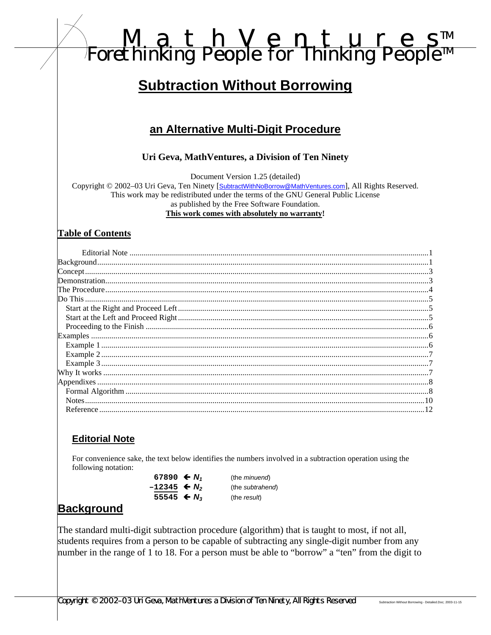# M\_a\_t\_h\_V\_e\_n\_t\_u\_r\_e\_s™<br>Forethinking People for Thinking People™

# **Subtraction Without Borrowing**

# an Alternative Multi-Digit Procedure

#### Uri Geva, MathVentures, a Division of Ten Ninety

Document Version 1.25 (detailed)

Copyright © 2002-03 Uri Geva, Ten Ninety [SubtractWithNoBorrow@MathVentures.com], All Rights Reserved. This work may be redistributed under the terms of the GNU General Public License as published by the Free Software Foundation.

This work comes with absolutely no warranty!

#### **Table of Contents**

| $\frac{1}{2}$ $\frac{1}{2}$ $\frac{1}{2}$ $\frac{1}{2}$ $\frac{1}{2}$ $\frac{1}{2}$ $\frac{1}{2}$ $\frac{1}{2}$ $\frac{1}{2}$ $\frac{1}{2}$ $\frac{1}{2}$ $\frac{1}{2}$ $\frac{1}{2}$ $\frac{1}{2}$ $\frac{1}{2}$ $\frac{1}{2}$ $\frac{1}{2}$ $\frac{1}{2}$ $\frac{1}{2}$ $\frac{1}{2}$ $\frac{1}{2}$ $\frac{1}{2}$ |  |
|---------------------------------------------------------------------------------------------------------------------------------------------------------------------------------------------------------------------------------------------------------------------------------------------------------------------|--|
|                                                                                                                                                                                                                                                                                                                     |  |
|                                                                                                                                                                                                                                                                                                                     |  |
|                                                                                                                                                                                                                                                                                                                     |  |
|                                                                                                                                                                                                                                                                                                                     |  |
|                                                                                                                                                                                                                                                                                                                     |  |
|                                                                                                                                                                                                                                                                                                                     |  |
|                                                                                                                                                                                                                                                                                                                     |  |
|                                                                                                                                                                                                                                                                                                                     |  |
|                                                                                                                                                                                                                                                                                                                     |  |
|                                                                                                                                                                                                                                                                                                                     |  |
|                                                                                                                                                                                                                                                                                                                     |  |
|                                                                                                                                                                                                                                                                                                                     |  |
|                                                                                                                                                                                                                                                                                                                     |  |
|                                                                                                                                                                                                                                                                                                                     |  |
|                                                                                                                                                                                                                                                                                                                     |  |
|                                                                                                                                                                                                                                                                                                                     |  |

#### **Editorial Note**

For convenience sake, the text below identifies the numbers involved in a subtraction operation using the following notation:

> 67890  $\leftarrow N_1$  $-12345$   $\leftarrow N_2$ 55545 ←  $N_3$

(the minuend) (the subtrahend) (the result)

## **Background**

The standard multi-digit subtraction procedure (algorithm) that is taught to most, if not all, students requires from a person to be capable of subtracting any single-digit number from any number in the range of 1 to 18. For a person must be able to "borrow" a "ten" from the digit to

Copyright © 2002–03 Uri Geva, MathVentures a Division of Ten Ninety, All Rights Reserved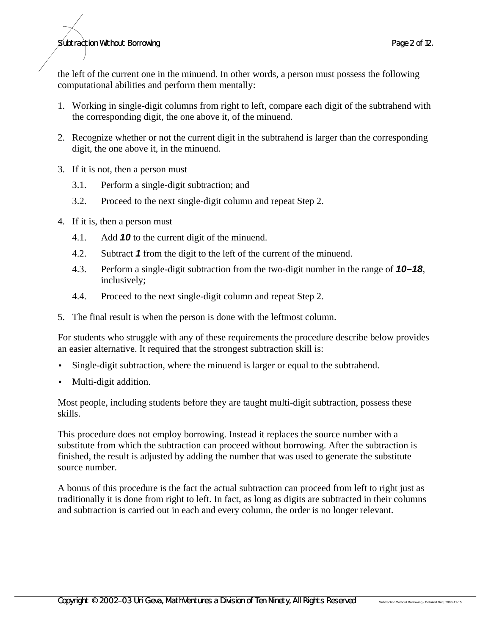#### *Subtraction Without Borrowing Page 2 of 12.*

the left of the current one in the minuend. In other words, a person must possess the following computational abilities and perform them mentally:

- 1. Working in single-digit columns from right to left, compare each digit of the subtrahend with the corresponding digit, the one above it, of the minuend.
- 2. Recognize whether or not the current digit in the subtrahend is larger than the corresponding digit, the one above it, in the minuend.
- 3. If it is not, then a person must
	- 3.1. Perform a single-digit subtraction; and
	- 3.2. Proceed to the next single-digit column and repeat Step 2.
- 4. If it is, then a person must
	- 4.1. Add *10* to the current digit of the minuend.
	- 4.2. Subtract *1* from the digit to the left of the current of the minuend.
	- 4.3. Perform a single-digit subtraction from the two-digit number in the range of *10–18*, inclusively;
	- 4.4. Proceed to the next single-digit column and repeat Step 2.
- 5. The final result is when the person is done with the leftmost column.

For students who struggle with any of these requirements the procedure describe below provides an easier alternative. It required that the strongest subtraction skill is:

- Single-digit subtraction, where the minuend is larger or equal to the subtrahend.
- Multi-digit addition.

Most people, including students before they are taught multi-digit subtraction, possess these skills.

This procedure does not employ borrowing. Instead it replaces the source number with a substitute from which the subtraction can proceed without borrowing. After the subtraction is finished, the result is adjusted by adding the number that was used to generate the substitute source number.

A bonus of this procedure is the fact the actual subtraction can proceed from left to right just as traditionally it is done from right to left. In fact, as long as digits are subtracted in their columns and subtraction is carried out in each and every column, the order is no longer relevant.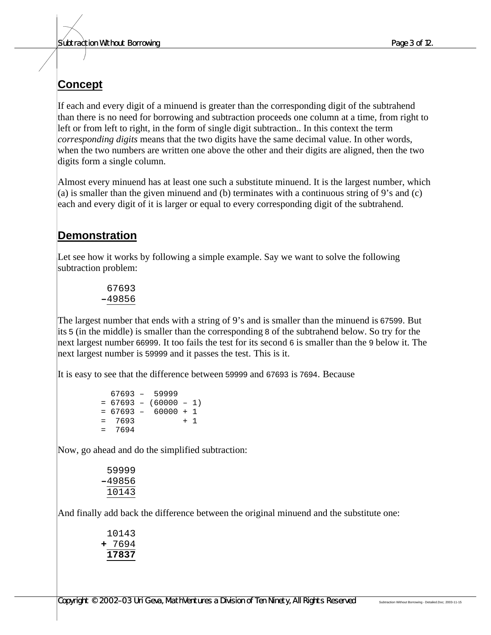# **Concept**

If each and every digit of a minuend is greater than the corresponding digit of the subtrahend than there is no need for borrowing and subtraction proceeds one column at a time, from right to left or from left to right, in the form of single digit subtraction.. In this context the term *corresponding digits* means that the two digits have the same decimal value. In other words, when the two numbers are written one above the other and their digits are aligned, then the two digits form a single column.

Almost every minuend has at least one such a substitute minuend. It is the largest number, which  $(a)$  is smaller than the given minuend and (b) terminates with a continuous string of 9's and (c) each and every digit of it is larger or equal to every corresponding digit of the subtrahend.

# **Demonstration**

Let see how it works by following a simple example. Say we want to solve the following subtraction problem:

> 67693 **–**49856

The largest number that ends with a string of 9's and is smaller than the minuend is 67599. But its 5 (in the middle) is smaller than the corresponding 8 of the subtrahend below. So try for the next largest number 66999. It too fails the test for its second 6 is smaller than the 9 below it. The next largest number is 59999 and it passes the test. This is it.

It is easy to see that the difference between 59999 and 67693 is 7694. Because

 67693 – 59999  $= 67693 - (60000 - 1)$  $= 67693 - 60000 + 1$  $= 7693 + 1$  $= 7694$ 

Now, go ahead and do the simplified subtraction:

```
 59999
–49856
 10143
```
And finally add back the difference between the original minuend and the substitute one:

 10143 **+** 7694 **17837**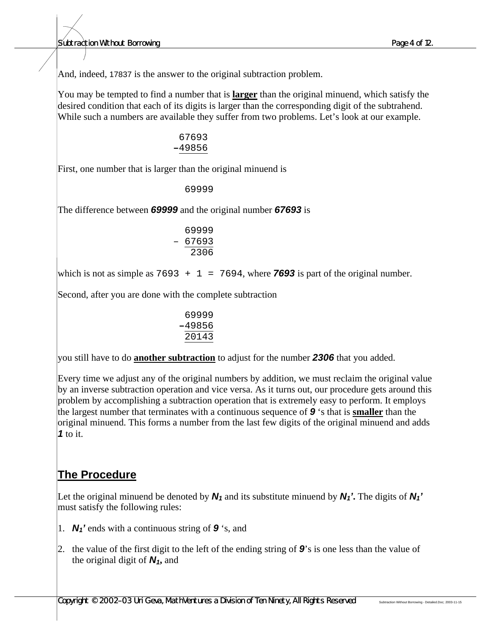*Subtraction Without Borrowing Page 4 of 12.*

And, indeed, 17837 is the answer to the original subtraction problem.

You may be tempted to find a number that is **larger** than the original minuend, which satisfy the desired condition that each of its digits is larger than the corresponding digit of the subtrahend. While such a numbers are available they suffer from two problems. Let's look at our example.

> 67693 **–**49856

First, one number that is larger than the original minuend is

69999

The difference between *69999* and the original number *67693* is

| 69999 |
|-------|
| 67693 |
| 2306  |

which is not as simple as  $7693 + 1 = 7694$ , where **7693** is part of the original number.

Second, after you are done with the complete subtraction

| 69999  |
|--------|
| -49856 |
| 20143  |

you still have to do **another subtraction** to adjust for the number *2306* that you added.

Every time we adjust any of the original numbers by addition, we must reclaim the original value by an inverse subtraction operation and vice versa. As it turns out, our procedure gets around this problem by accomplishing a subtraction operation that is extremely easy to perform. It employs the largest number that terminates with a continuous sequence of *9* 's that is **smaller** than the original minuend. This forms a number from the last few digits of the original minuend and adds *1* to it.

## **The Procedure**

Let the original minuend be denoted by  $N_1$  and its substitute minuend by  $N_1$ <sup>'</sup>. The digits of  $N_1$ ' must satisfy the following rules:

- 1. *N1'* ends with a continuous string of *9* 's, and
- 2. the value of the first digit to the left of the ending string of *9*'s is one less than the value of the original digit of *N1***,** and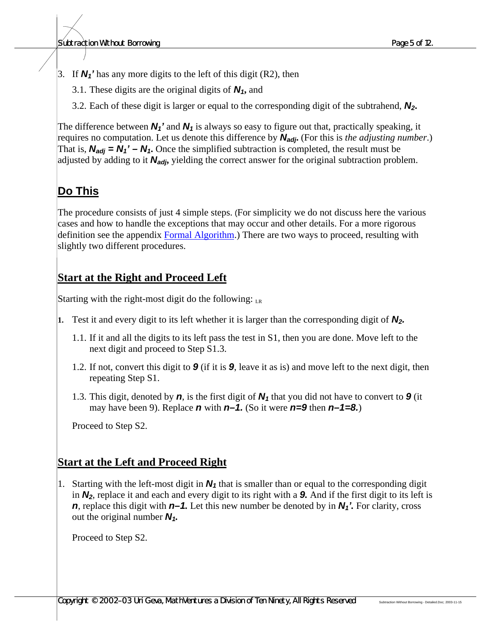- 3. If *N1'* has any more digits to the left of this digit (R2), then
	- 3.1. These digits are the original digits of *N1***,** and
	- 3.2. Each of these digit is larger or equal to the corresponding digit of the subtrahend, *N2***.**

The difference between  $N_1$ <sup>'</sup> and  $N_1$  is always so easy to figure out that, practically speaking, it requires no computation. Let us denote this difference by *Nadj***.** (For this is *the adjusting number*.) That is,  $N_{adj} = N_1' - N_1$ . Once the simplified subtraction is completed, the result must be adjusted by adding to it *Nadj***,** yielding the correct answer for the original subtraction problem.

# **Do This**

The procedure consists of just 4 simple steps. (For simplicity we do not discuss here the various cases and how to handle the exceptions that may occur and other details. For a more rigorous definition see the appendix Formal Algorithm.) There are two ways to proceed, resulting with slightly two different procedures.

#### **Start at the Right and Proceed Left**

Starting with the right-most digit do the following:  $_{LR}$ 

- **1.** Test it and every digit to its left whether it is larger than the corresponding digit of *N2.*
	- 1.1. If it and all the digits to its left pass the test in S1, then you are done. Move left to the next digit and proceed to Step S1.3.
	- 1.2. If not, convert this digit to *9* (if it is *9*, leave it as is) and move left to the next digit, then repeating Step S1.
	- 1.3. This digit, denoted by *n*, is the first digit of *N1* that you did not have to convert to *9* (it may have been 9). Replace *n* with *n–1.* (So it were *n=9* then *n–1=8.*)

Proceed to Step S2.

## **Start at the Left and Proceed Right**

1. Starting with the left-most digit in  $N_1$  that is smaller than or equal to the corresponding digit in *N2*, replace it and each and every digit to its right with a *9.* And if the first digit to its left is *n*, replace this digit with *n–1.* Let this new number be denoted by in *N1'.* For clarity, cross out the original number *N1.*

Proceed to Step S2.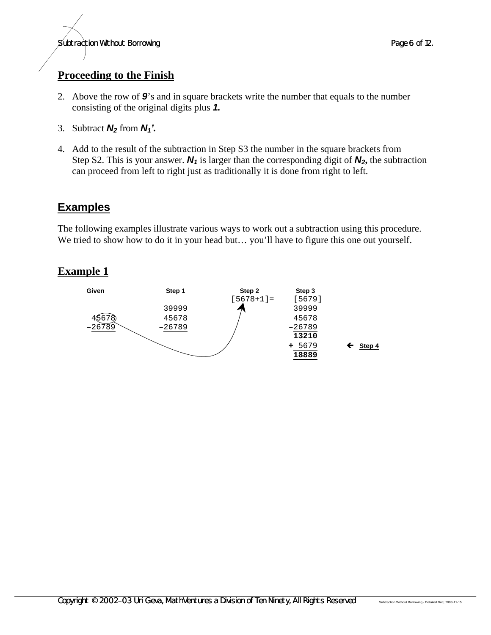#### **Proceeding to the Finish**

- 2. Above the row of *9*'s and in square brackets write the number that equals to the number consisting of the original digits plus *1.*
- 3. Subtract  $N_2$  from  $N_1$ <sup>'</sup>.
- 4. Add to the result of the subtraction in Step S3 the number in the square brackets from Step S2. This is your answer. *N1* is larger than the corresponding digit of *N2***,** the subtraction can proceed from left to right just as traditionally it is done from right to left.

# **Examples**

The following examples illustrate various ways to work out a subtraction using this procedure. We tried to show how to do it in your head but... you'll have to figure this one out yourself.

#### **Example 1**

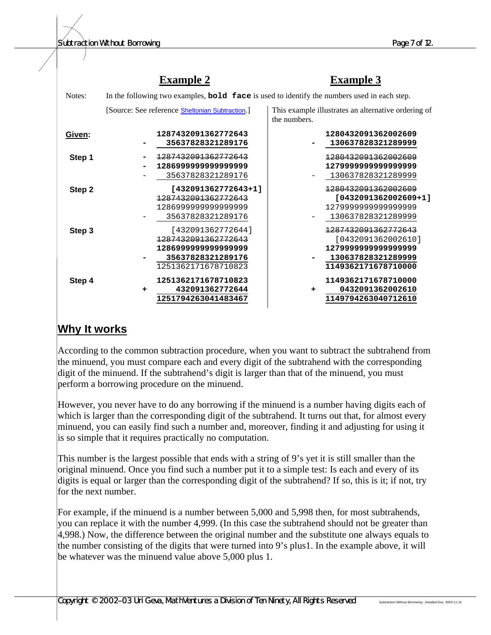|        | <b>Example 2</b>                                                                                           | <b>Example 3</b>                                                                                             |  |  |  |
|--------|------------------------------------------------------------------------------------------------------------|--------------------------------------------------------------------------------------------------------------|--|--|--|
| Notes: | In the following two examples, <b>bold</b> face is used to identify the numbers used in each step.         |                                                                                                              |  |  |  |
|        | [Source: See reference <b>Sheltonian Subtraction.</b> ]                                                    | This example illustrates an alternative ordering of<br>the numbers.                                          |  |  |  |
| Given: | 1287432091362772643<br>35637828321289176                                                                   | 1280432091362002609<br>130637828321289999                                                                    |  |  |  |
| Step 1 | 1287432091362772643<br>128699999999999999<br>35637828321289176                                             | 1280432091362002609<br>127999999999999999<br>130637828321289999                                              |  |  |  |
| Step 2 | [432091362772643+1]<br>1287432091362772643<br>128699999999999999<br>35637828321289176                      | 1280432091362002609<br>[0432091362002609+1]<br>127999999999999999<br>130637828321289999                      |  |  |  |
| Step 3 | [432091362772644]<br>1287432091362772643<br>128699999999999999<br>35637828321289176<br>1251362171678710823 | 1287432091362772643<br>[0432091362002610]<br>127999999999999999<br>130637828321289999<br>1149362171678710000 |  |  |  |
| Step 4 | 1251362171678710823<br>432091362772644<br>÷<br>1251794263041483467                                         | 1149362171678710000<br>0432091362002610<br>٠<br>1149794263040712610                                          |  |  |  |

#### **Why It works**

According to the common subtraction procedure, when you want to subtract the subtrahend from the minuend, you must compare each and every digit of the subtrahend with the corresponding digit of the minuend. If the subtrahend's digit is larger than that of the minuend, you must perform a borrowing procedure on the minuend.

However, you never have to do any borrowing if the minuend is a number having digits each of which is larger than the corresponding digit of the subtrahend. It turns out that, for almost every minuend, you can easily find such a number and, moreover, finding it and adjusting for using it is so simple that it requires practically no computation.

This number is the largest possible that ends with a string of 9's yet it is still smaller than the original minuend. Once you find such a number put it to a simple test: Is each and every of its digits is equal or larger than the corresponding digit of the subtrahend? If so, this is it; if not, try for the next number.

For example, if the minuend is a number between 5,000 and 5,998 then, for most subtrahends, you can replace it with the number 4,999. (In this case the subtrahend should not be greater than 4,998.) Now, the difference between the original number and the substitute one always equals to the number consisting of the digits that were turned into 9's plus1. In the example above, it will be whatever was the minuend value above 5,000 plus 1.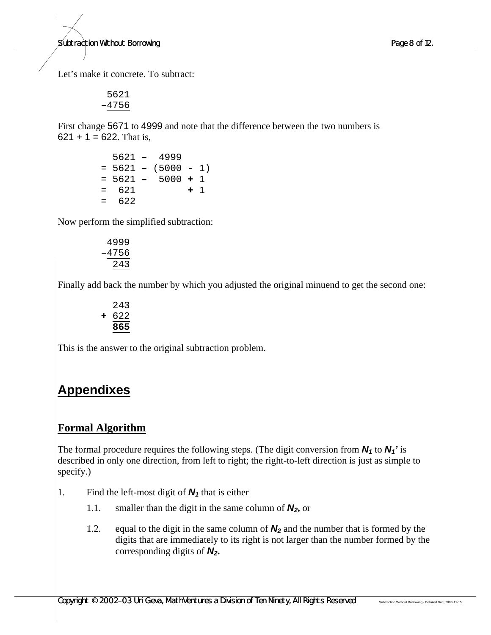*Subtraction Without Borrowing Page 8 of 12.*

Let's make it concrete. To subtract:

 5621 **–**4756

First change 5671 to 4999 and note that the difference between the two numbers is  $621 + 1 = 622$ . That is,

> 5621 **–** 4999 = 5621 **–** (5000 - 1) = 5621 **–** 5000 **+** 1 =621 **+** 1  $= 622$

Now perform the simplified subtraction:

$$
4999\n-4756\n\hline\n243
$$

Finally add back the number by which you adjusted the original minuend to get the second one:

$$
\begin{array}{r} 243 \\ + 622 \\ \hline 865 \end{array}
$$

This is the answer to the original subtraction problem.

# **Appendixes**

## **Formal Algorithm**

The formal procedure requires the following steps. (The digit conversion from *N1* to *N1'* is described in only one direction, from left to right; the right-to-left direction is just as simple to specify.)

- 1. Find the left-most digit of  $N_1$  that is either
	- 1.1. smaller than the digit in the same column of *N2***,** or
	- 1.2. equal to the digit in the same column of *N2* and the number that is formed by the digits that are immediately to its right is not larger than the number formed by the corresponding digits of *N2***.**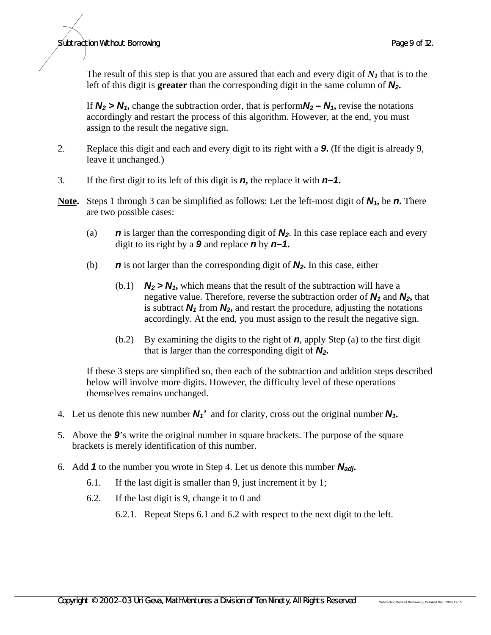#### *Subtraction Without Borrowing Page 9 of 12.*

The result of this step is that you are assured that each and every digit of  $N_I$  that is to the left of this digit is **greater** than the corresponding digit in the same column of *N2***.**

If  $N_2 > N_1$ , change the subtraction order, that is perform  $N_2 - N_1$ , revise the notations accordingly and restart the process of this algorithm. However, at the end, you must assign to the result the negative sign.

- 2. Replace this digit and each and every digit to its right with a *9***.** (If the digit is already 9, leave it unchanged.)
- 3. If the first digit to its left of this digit is *n***,** the replace it with *n–1***.**
- **Note.** Steps 1 through 3 can be simplified as follows: Let the left-most digit of *N1***,** be *n***.** There are two possible cases:
	- (a) *n* is larger than the corresponding digit of *N2*. In this case replace each and every digit to its right by a *9* and replace *n* by *n–1***.**
	- (b) *n* is not larger than the corresponding digit of *N2***.** In this case, either
		- (b.1)  $N_2 > N_1$ , which means that the result of the subtraction will have a negative value. Therefore, reverse the subtraction order of *N1* and *N2***,** that is subtract  $N_1$  from  $N_2$ , and restart the procedure, adjusting the notations accordingly. At the end, you must assign to the result the negative sign.
		- (b.2) By examining the digits to the right of *n*, apply Step (a) to the first digit that is larger than the corresponding digit of *N2***.**

If these 3 steps are simplified so, then each of the subtraction and addition steps described below will involve more digits. However, the difficulty level of these operations themselves remains unchanged.

- 4. Let us denote this new number  $N_1'$  and for clarity, cross out the original number  $N_1$ .
- 5. Above the *9*'s write the original number in square brackets. The purpose of the square brackets is merely identification of this number.
- 6. Add *1* to the number you wrote in Step 4. Let us denote this number *Nadj***.**
	- 6.1. If the last digit is smaller than 9, just increment it by 1;
	- 6.2. If the last digit is 9, change it to 0 and
		- 6.2.1. Repeat Steps 6.1 and 6.2 with respect to the next digit to the left.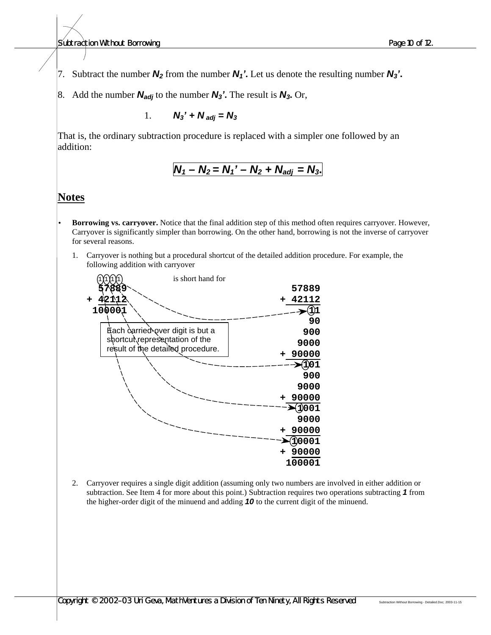*Subtraction Without Borrowing Page 10 of 12.*

7. Subtract the number  $N_2$  from the number  $N_1$ <sup>'</sup>. Let us denote the resulting number  $N_3$ '.

8. Add the number  $N_{adj}$  to the number  $N_3$ <sup>'</sup>. The result is  $N_3$ . Or,

1.  $N_3' + N_{adi} = N_3$ 

That is, the ordinary subtraction procedure is replaced with a simpler one followed by an addition:

$$
N_1 - N_2 = N_1' - N_2 + N_{adj} = N_3.
$$

#### **Notes**

• **Borrowing vs. carryover.** Notice that the final addition step of this method often requires carryover. However, Carryover is significantly simpler than borrowing. On the other hand, borrowing is not the inverse of carryover for several reasons.

1. Carryover is nothing but a procedural shortcut of the detailed addition procedure. For example, the following addition with carryover



2. Carryover requires a single digit addition (assuming only two numbers are involved in either addition or subtraction. See Item 4 for more about this point.) Subtraction requires two operations subtracting *1* from the higher-order digit of the minuend and adding *10* to the current digit of the minuend.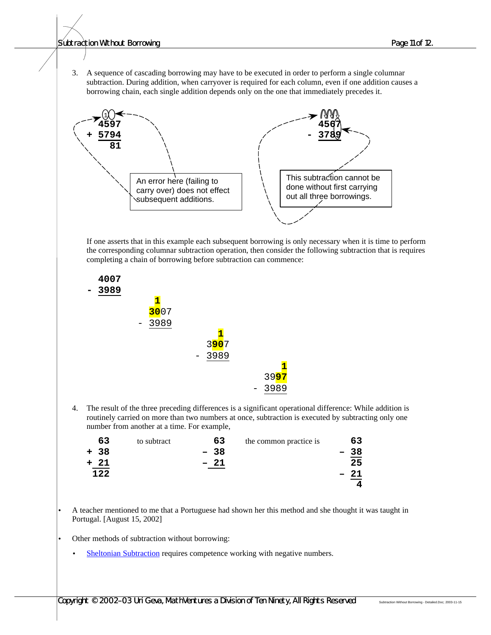*Subtraction Without Borrowing Page 11 of 12.*

3. A sequence of cascading borrowing may have to be executed in order to perform a single columnar subtraction. During addition, when carryover is required for each column, even if one addition causes a borrowing chain, each single addition depends only on the one that immediately precedes it.



If one asserts that in this example each subsequent borrowing is only necessary when it is time to perform the corresponding columnar subtraction operation, then consider the following subtraction that is requires completing a chain of borrowing before subtraction can commence:



4. The result of the three preceding differences is a significant operational difference: While addition is routinely carried on more than two numbers at once, subtraction is executed by subtracting only one number from another at a time. For example,

| 63   | to subtract | 63    | the common practice is | 63 |
|------|-------------|-------|------------------------|----|
| + 38 |             | $-38$ |                        | 38 |
| + 21 |             | $-21$ |                        | 25 |
| 122  |             |       |                        |    |
|      |             |       |                        |    |
|      |             |       |                        |    |

• A teacher mentioned to me that a Portuguese had shown her this method and she thought it was taught in Portugal. [August 15, 2002]

- Other methods of subtraction without borrowing:
	- Sheltonian Subtraction requires competence working with negative numbers.